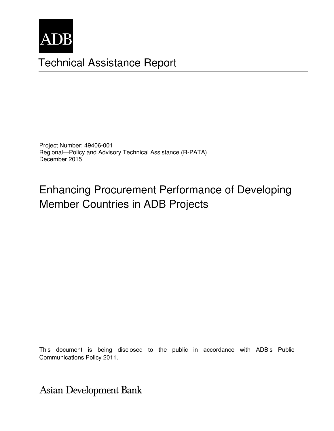

# **Technical Assistance Report**

Project Number: 49406-001 Regional-Policy and Advisory Technical Assistance (R-PATA) December 2015

# **Enhancing Procurement Performance of Developing Member Countries in ADB Projects**

This document is being disclosed to the public in accordance with ADB's Public Communications Policy 2011.

Asian Development Bank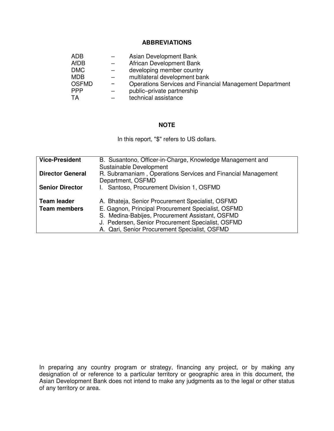#### **ABBREVIATIONS**

| ADB          | Asian Development Bank                                  |
|--------------|---------------------------------------------------------|
| AfDB         | African Development Bank                                |
| <b>DMC</b>   | developing member country                               |
| <b>MDB</b>   | multilateral development bank                           |
| <b>OSFMD</b> | Operations Services and Financial Management Department |
| <b>PPP</b>   | public-private partnership                              |
| TA           | technical assistance                                    |

#### **NOTE**

In this report, "\$" refers to US dollars.

| <b>Vice-President</b>   | B. Susantono, Officer-in-Charge, Knowledge Management and                         |
|-------------------------|-----------------------------------------------------------------------------------|
|                         | Sustainable Development                                                           |
| <b>Director General</b> | R. Subramaniam, Operations Services and Financial Management<br>Department, OSFMD |
| <b>Senior Director</b>  | Santoso, Procurement Division 1, OSFMD                                            |
| <b>Team leader</b>      | A. Bhateja, Senior Procurement Specialist, OSFMD                                  |
| <b>Team members</b>     | E. Gagnon, Principal Procurement Specialist, OSFMD                                |
|                         | S. Medina-Babijes, Procurement Assistant, OSFMD                                   |
|                         | J. Pedersen, Senior Procurement Specialist, OSFMD                                 |
|                         | A. Qari, Senior Procurement Specialist, OSFMD                                     |

In preparing any country program or strategy, financing any project, or by making any designation of or reference to a particular territory or geographic area in this document, the Asian Development Bank does not intend to make any judgments as to the legal or other status of any territory or area.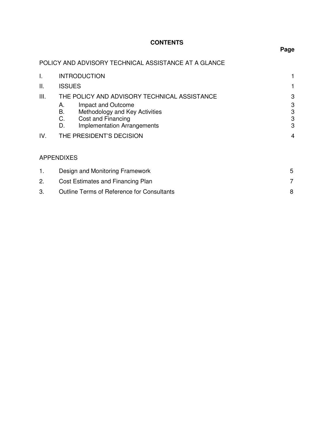# **CONTENTS**

# **Page**

# POLICY AND ADVISORY TECHNICAL ASSISTANCE AT A GLANCE

| I.   | <b>INTRODUCTION</b>                                                                                                                      |                  |  |
|------|------------------------------------------------------------------------------------------------------------------------------------------|------------------|--|
| Ш.   | <b>ISSUES</b>                                                                                                                            |                  |  |
| III. | THE POLICY AND ADVISORY TECHNICAL ASSISTANCE                                                                                             |                  |  |
|      | Impact and Outcome<br>А.<br>В.<br>Methodology and Key Activities<br>C.<br>Cost and Financing<br><b>Implementation Arrangements</b><br>D. | 3<br>3<br>3<br>3 |  |
| IV.  | THE PRESIDENT'S DECISION                                                                                                                 | 4                |  |
|      | <b>APPENDIXES</b>                                                                                                                        |                  |  |
| 1.   | Design and Monitoring Framework                                                                                                          | 5                |  |
| 2.   | Cost Estimates and Financing Plan                                                                                                        | $\overline{7}$   |  |
| 3.   | <b>Outline Terms of Reference for Consultants</b>                                                                                        | 8                |  |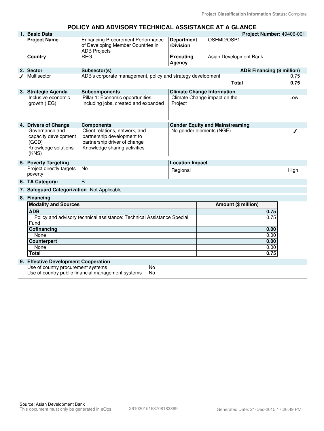#### **POLICY AND ADVISORY TECHNICAL ASSISTANCE AT A GLANCE**

|  | 1. Basic Data                                                                                                                                                                                        |                                                                                                                              |                                | Project Number: 49406-001                                   |      |  |
|--|------------------------------------------------------------------------------------------------------------------------------------------------------------------------------------------------------|------------------------------------------------------------------------------------------------------------------------------|--------------------------------|-------------------------------------------------------------|------|--|
|  | <b>Project Name</b>                                                                                                                                                                                  | <b>Enhancing Procurement Performance</b><br>of Developing Member Countries in<br><b>ADB Projects</b>                         | <b>Department</b><br>/Division | OSFMD/OSP1                                                  |      |  |
|  | Country                                                                                                                                                                                              | <b>REG</b>                                                                                                                   | <b>Executing</b><br>Agency     | Asian Development Bank                                      |      |  |
|  | 2. Sector                                                                                                                                                                                            | Subsector(s)                                                                                                                 |                                | <b>ADB Financing (\$ million)</b>                           |      |  |
|  | Multisector                                                                                                                                                                                          | ADB's corporate management, policy and strategy development                                                                  |                                |                                                             | 0.75 |  |
|  |                                                                                                                                                                                                      |                                                                                                                              |                                | <b>Total</b>                                                | 0.75 |  |
|  | 3. Strategic Agenda                                                                                                                                                                                  | <b>Subcomponents</b>                                                                                                         |                                | <b>Climate Change Information</b>                           |      |  |
|  | Inclusive economic<br>growth (IEG)                                                                                                                                                                   | Pillar 1: Economic opportunities,<br>including jobs, created and expanded                                                    | Project                        | Climate Change impact on the                                | Low  |  |
|  | 4. Drivers of Change                                                                                                                                                                                 | <b>Components</b>                                                                                                            |                                | <b>Gender Equity and Mainstreaming</b>                      |      |  |
|  | Governance and<br>capacity development<br>(GCD)<br>Knowledge solutions<br>(KNS)                                                                                                                      | Client relations, network, and<br>partnership development to<br>partnership driver of change<br>Knowledge sharing activities |                                | No gender elements (NGE)                                    |      |  |
|  | 5. Poverty Targeting                                                                                                                                                                                 |                                                                                                                              | <b>Location Impact</b>         |                                                             |      |  |
|  | poverty                                                                                                                                                                                              | <b>No</b>                                                                                                                    | Regional                       |                                                             | High |  |
|  | 6. TA Category:                                                                                                                                                                                      | B                                                                                                                            |                                |                                                             |      |  |
|  |                                                                                                                                                                                                      |                                                                                                                              |                                |                                                             |      |  |
|  |                                                                                                                                                                                                      |                                                                                                                              |                                |                                                             |      |  |
|  |                                                                                                                                                                                                      |                                                                                                                              |                                |                                                             |      |  |
|  | <b>ADB</b>                                                                                                                                                                                           |                                                                                                                              |                                | 0.75                                                        |      |  |
|  |                                                                                                                                                                                                      | Policy and advisory technical assistance: Technical Assistance Special                                                       |                                | 0.75                                                        |      |  |
|  | Fund<br>Cofinancing<br>None                                                                                                                                                                          |                                                                                                                              |                                |                                                             |      |  |
|  |                                                                                                                                                                                                      |                                                                                                                              |                                |                                                             |      |  |
|  |                                                                                                                                                                                                      |                                                                                                                              |                                |                                                             |      |  |
|  |                                                                                                                                                                                                      |                                                                                                                              |                                |                                                             |      |  |
|  |                                                                                                                                                                                                      |                                                                                                                              |                                |                                                             |      |  |
|  |                                                                                                                                                                                                      |                                                                                                                              |                                |                                                             |      |  |
|  | Use of country procurement systems                                                                                                                                                                   |                                                                                                                              |                                |                                                             |      |  |
|  | Use of country public financial management systems<br>No                                                                                                                                             |                                                                                                                              |                                |                                                             |      |  |
|  | Project directly targets<br>7. Safeguard Categorization Not Applicable<br>8. Financing<br><b>Modality and Sources</b><br>Counterpart<br>None<br><b>Total</b><br>9. Effective Development Cooperation | No                                                                                                                           |                                | Amount (\$ million)<br>0.00<br>0.00<br>0.00<br>0.00<br>0.75 |      |  |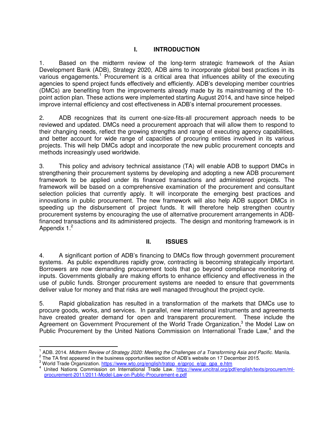# **I. INTRODUCTION**

1. Based on the midterm review of the long-term strategic framework of the Asian Development Bank (ADB), Strategy 2020, ADB aims to incorporate global best practices in its various engagements.<sup>1</sup> Procurement is a critical area that influences ability of the executing agencies to spend project funds effectively and efficiently. ADB's developing member countries (DMCs) are benefiting from the improvements already made by its mainstreaming of the 10 point action plan. These actions were implemented starting August 2014, and have since helped improve internal efficiency and cost effectiveness in ADB's internal procurement processes.

2. ADB recognizes that its current one-size-fits-all procurement approach needs to be reviewed and updated. DMCs need a procurement approach that will allow them to respond to their changing needs, reflect the growing strengths and range of executing agency capabilities, and better account for wide range of capacities of procuring entities involved in its various projects. This will help DMCs adopt and incorporate the new public procurement concepts and methods increasingly used worldwide.

3. This policy and advisory technical assistance (TA) will enable ADB to support DMCs in strengthening their procurement systems by developing and adopting a new ADB procurement framework to be applied under its financed transactions and administered projects. The framework will be based on a comprehensive examination of the procurement and consultant selection policies that currently apply. It will incorporate the emerging best practices and innovations in public procurement. The new framework will also help ADB support DMCs in speeding up the disbursement of project funds. It will therefore help strengthen country procurement systems by encouraging the use of alternative procurement arrangements in ADBfinanced transactions and its administered projects. The design and monitoring framework is in Appendix  $1<sup>2</sup>$ 

#### **II. ISSUES**

4. A significant portion of ADB's financing to DMCs flow through government procurement systems. As public expenditures rapidly grow, contracting is becoming strategically important. Borrowers are now demanding procurement tools that go beyond compliance monitoring of inputs. Governments globally are making efforts to enhance efficiency and effectiveness in the use of public funds. Stronger procurement systems are needed to ensure that governments deliver value for money and that risks are well managed throughout the project cycle.

5. Rapid globalization has resulted in a transformation of the markets that DMCs use to procure goods, works, and services. In parallel, new international instruments and agreements have created greater demand for open and transparent procurement. These include the Agreement on Government Procurement of the World Trade Organization,<sup>3</sup> the Model Law on Public Procurement by the United Nations Commission on International Trade Law,<sup>4</sup> and the

l

<sup>1</sup> ADB. 2014. *Midterm Review of Strategy 2020: Meeting the Challenges of a Transforming Asia and Pacific*. Manila.

 $2<sup>2</sup>$  The TA first appeared in the business opportunities section of ADB's website on 17 December 2015.

<sup>&</sup>lt;sup>3</sup> World Trade Organization. [https://www.wto.org/english/tratop\\_e/gproc\\_e/gp\\_gpa\\_e.htm](https://www.wto.org/english/tratop_e/gproc_e/gp_gpa_e.htm)

<sup>&</sup>lt;sup>4</sup> United Nations Commission on International Trade Law. [https://www.uncitral.org/pdf/english/texts/procurem/ml](https://www.uncitral.org/pdf/english/texts/procurem/ml-procurement-2011/2011-Model-Law-on-Public-Procurement-e.pdf)[procurement-2011/2011-Model-Law-on-Public-Procurement-e.pdf](https://www.uncitral.org/pdf/english/texts/procurem/ml-procurement-2011/2011-Model-Law-on-Public-Procurement-e.pdf)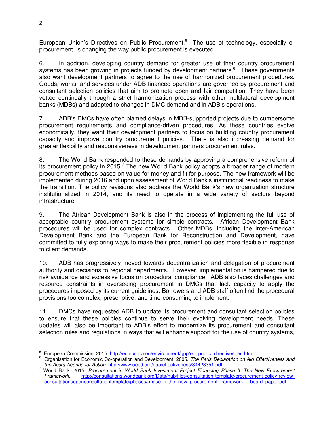European Union's Directives on Public Procurement.<sup>5</sup> The use of technology, especially eprocurement, is changing the way public procurement is executed.

6. In addition, developing country demand for greater use of their country procurement systems has been growing in projects funded by development partners.<sup>6</sup> These governments also want development partners to agree to the use of harmonized procurement procedures. Goods, works, and services under ADB-financed operations are governed by procurement and consultant selection policies that aim to promote open and fair competition. They have been vetted continually through a strict harmonization process with other multilateral development banks (MDBs) and adapted to changes in DMC demand and in ADB's operations.

7. ADB's DMCs have often blamed delays in MDB-supported projects due to cumbersome procurement requirements and compliance-driven procedures. As these countries evolve economically, they want their development partners to focus on building country procurement capacity and improve country procurement policies. There is also increasing demand for greater flexibility and responsiveness in development partners procurement rules.

8. The World Bank responded to these demands by approving a comprehensive reform of its procurement policy in 2015.<sup>7</sup> The new World Bank policy adopts a broader range of modern procurement methods based on value for money and fit for purpose. The new framework will be implemented during 2016 and upon assessment of World Bank's institutional readiness to make the transition. The policy revisions also address the World Bank's new organization structure institutionalized in 2014, and its need to operate in a wide variety of sectors beyond infrastructure.

9. The African Development Bank is also in the process of implementing the full use of acceptable country procurement systems for simple contracts. African Development Bank procedures will be used for complex contracts. Other MDBs, including the Inter-American Development Bank and the European Bank for Reconstruction and Development, have committed to fully exploring ways to make their procurement policies more flexible in response to client demands.

10. ADB has progressively moved towards decentralization and delegation of procurement authority and decisions to regional departments. However, implementation is hampered due to risk avoidance and excessive focus on procedural compliance. ADB also faces challenges and resource constraints in overseeing procurement in DMCs that lack capacity to apply the procedures imposed by its current guidelines. Borrowers and ADB staff often find the procedural provisions too complex, prescriptive, and time-consuming to implement.

11. DMCs have requested ADB to update its procurement and consultant selection policies to ensure that these policies continue to serve their evolving development needs. These updates will also be important to ADB's effort to modernize its procurement and consultant selection rules and regulations in ways that will enhance support for the use of country systems,

l

<sup>&</sup>lt;sup>5</sup> European Commission. 2015. [http://ec.europa.eu/environment/gpp/eu\\_public\\_directives\\_en.htm](http://ec.europa.eu/environment/gpp/eu_public_directives_en.htm)<br>6 Organization for Economic Co aparation and Davelapment, 2005. The Berie Decleration an Ai

Organisation for Economic Co-operation and Development. 2005. *The Paris Declaration on Aid Effectiveness and the Accra Agenda for Action*[. http://www.oecd.org/dac/effectiveness/34428351.pdf](http://www.oecd.org/dac/effectiveness/34428351.pdf)

<sup>7</sup> World Bank. 2015. *Procurement in World Bank Investment Project Financing Phase II: The New Procurement Framework*. [http://consultations.worldbank.org/Data/hub/files/consultation-template/procurement-policy-review](http://consultations.worldbank.org/Data/hub/files/consultation-template/procurement-policy-review-consultationsopenconsultationtemplate/phases/phase_ii_the_new_procurement_framework_-_board_paper.pdf)[consultationsopenconsultationtemplate/phases/phase\\_ii\\_the\\_new\\_procurement\\_framework\\_-\\_board\\_paper.pdf](http://consultations.worldbank.org/Data/hub/files/consultation-template/procurement-policy-review-consultationsopenconsultationtemplate/phases/phase_ii_the_new_procurement_framework_-_board_paper.pdf)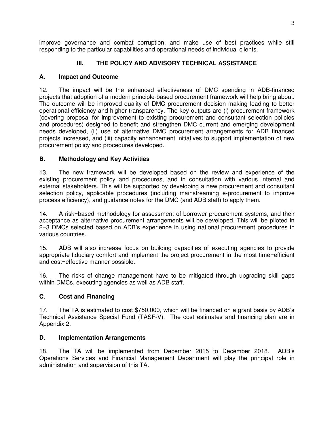improve governance and combat corruption, and make use of best practices while still responding to the particular capabilities and operational needs of individual clients.

# **III. THE POLICY AND ADVISORY TECHNICAL ASSISTANCE**

# **A. Impact and Outcome**

12. The impact will be the enhanced effectiveness of DMC spending in ADB-financed projects that adoption of a modern principle-based procurement framework will help bring about. The outcome will be improved quality of DMC procurement decision making leading to better operational efficiency and higher transparency. The key outputs are (i) procurement framework (covering proposal for improvement to existing procurement and consultant selection policies and procedures) designed to benefit and strengthen DMC current and emerging development needs developed, (ii) use of alternative DMC procurement arrangements for ADB financed projects increased, and (iii) capacity enhancement initiatives to support implementation of new procurement policy and procedures developed.

# **B. Methodology and Key Activities**

13. The new framework will be developed based on the review and experience of the existing procurement policy and procedures, and in consultation with various internal and external stakeholders. This will be supported by developing a new procurement and consultant selection policy, applicable procedures (including mainstreaming e-procurement to improve process efficiency), and guidance notes for the DMC (and ADB staff) to apply them.

14. A risk−based methodology for assessment of borrower procurement systems, and their acceptance as alternative procurement arrangements will be developed. This will be piloted in 2−3 DMCs selected based on ADB's experience in using national procurement procedures in various countries.

15. ADB will also increase focus on building capacities of executing agencies to provide appropriate fiduciary comfort and implement the project procurement in the most time−efficient and cost−effective manner possible.

16. The risks of change management have to be mitigated through upgrading skill gaps within DMCs, executing agencies as well as ADB staff.

# **C. Cost and Financing**

17. The TA is estimated to cost \$750,000, which will be financed on a grant basis by ADB's Technical Assistance Special Fund (TASF-V). The cost estimates and financing plan are in Appendix 2.

#### **D. Implementation Arrangements**

18. The TA will be implemented from December 2015 to December 2018. ADB's Operations Services and Financial Management Department will play the principal role in administration and supervision of this TA.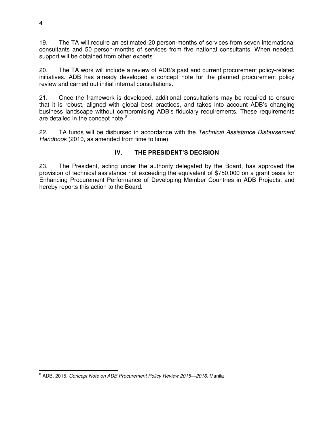19. The TA will require an estimated 20 person-months of services from seven international consultants and 50 person-months of services from five national consultants. When needed, support will be obtained from other experts.

20. The TA work will include a review of ADB's past and current procurement policy-related initiatives. ADB has already developed a concept note for the planned procurement policy review and carried out initial internal consultations.

21. Once the framework is developed, additional consultations may be required to ensure that it is robust, aligned with global best practices, and takes into account ADB's changing business landscape without compromising ADB's fiduciary requirements. These requirements are detailed in the concept note.<sup>8</sup>

22. TA funds will be disbursed in accordance with the *Technical Assistance Disbursement Handbook* (2010, as amended from time to time).

# **IV. THE PRESIDENT'S DECISION**

23. The President, acting under the authority delegated by the Board, has approved the provision of technical assistance not exceeding the equivalent of \$750,000 on a grant basis for Enhancing Procurement Performance of Developing Member Countries in ADB Projects, and hereby reports this action to the Board.

 $\overline{a}$ 

<sup>8</sup> ADB. 2015. *Concept Note on ADB Procurement Policy Review 2015—2016*. Manila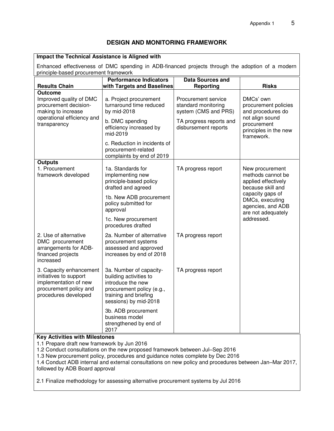#### **DESIGN AND MONITORING FRAMEWORK**

#### **Impact the Technical Assistance is Aligned with**  Enhanced effectiveness of DMC spending in ADB-financed projects through the adoption of a modern principle-based procurement framework **Results Chain Performance Indicators with Targets and Baselines Data Sources and Reporting Risks Outcome** Improved quality of DMC procurement decisionmaking to increase operational efficiency and transparency a. Project procurement turnaround time reduced by mid-2018 Procurement service standard monitoring system (CMS and PRS) DMCs' own procurement policies and procedures do not align sound procurement principles in the new framework. b. DMC spending efficiency increased by mid-2019 c. Reduction in incidents of procurement-related complaints by end of 2019 TA progress reports and disbursement reports **Outputs** 1. Procurement framework developed 1a. Standards for implementing new principle-based policy drafted and agreed TA progress report New procurement methods cannot be applied effectively because skill and capacity gaps of DMCs, executing agencies, and ADB are not adequately addressed. 1b. New ADB procurement policy submitted for approval 1c. New procurement procedures drafted 2. Use of alternative DMC procurement arrangements for ADBfinanced projects increased 3. Capacity enhancement initiatives to support implementation of new procurement policy and procedures developed 2a. Number of alternative procurement systems assessed and approved increases by end of 2018 TA progress report 3a. Number of capacitybuilding activities to introduce the new procurement policy (e.g., training and briefing sessions) by mid-2018 3b. ADB procurement business model strengthened by end of 2017 TA progress report **Key Activities with Milestones** 1.1 Prepare draft new framework by Jun 2016

1.2 Conduct consultations on the new proposed framework between Jul–Sep 2016

1.3 New procurement policy, procedures and guidance notes complete by Dec 2016

1.4 Conduct ADB internal and external consultations on new policy and procedures between Jan–Mar 2017, followed by ADB Board approval

2.1 Finalize methodology for assessing alternative procurement systems by Jul 2016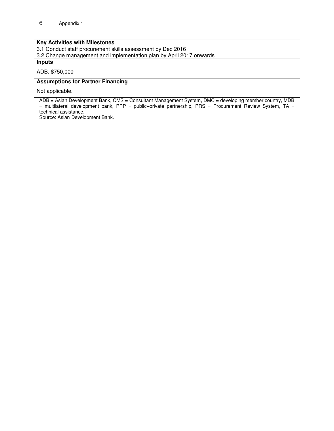#### **Key Activities with Milestones**

3.1 Conduct staff procurement skills assessment by Dec 2016 3.2 Change management and implementation plan by April 2017 onwards

**Inputs** 

ADB: \$750,000

#### **Assumptions for Partner Financing**

Not applicable.

ADB = Asian Development Bank, CMS = Consultant Management System, DMC = developing member country, MDB = multilateral development bank, PPP = public–private partnership, PRS = Procurement Review System, TA = technical assistance.

Source: Asian Development Bank.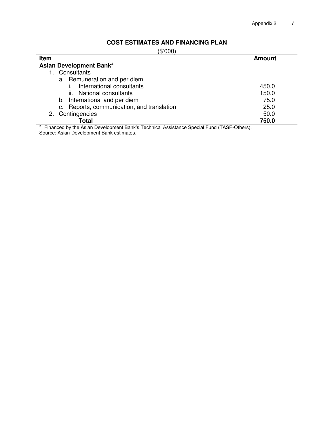# **COST ESTIMATES AND FINANCING PLAN**

| ĸ<br>ſ<br>10 |  |
|--------------|--|
|--------------|--|

| $\sim$ $\sim$ $\sim$ $\sim$<br>Item                                                       | <b>Amount</b> |  |  |  |  |
|-------------------------------------------------------------------------------------------|---------------|--|--|--|--|
| Asian Development Bank <sup>a</sup>                                                       |               |  |  |  |  |
| Consultants                                                                               |               |  |  |  |  |
| a. Remuneration and per diem                                                              |               |  |  |  |  |
| International consultants                                                                 | 450.0         |  |  |  |  |
| ii. National consultants                                                                  | 150.0         |  |  |  |  |
| b. International and per diem                                                             | 75.0          |  |  |  |  |
| c. Reports, communication, and translation                                                | 25.0          |  |  |  |  |
| Contingencies<br>2.                                                                       | 50.0          |  |  |  |  |
| Total                                                                                     | 750.0         |  |  |  |  |
| Financed by the Asian Development Bank's Technical Assistance Special Fund (TASF-Others). |               |  |  |  |  |

Source: Asian Development Bank estimates.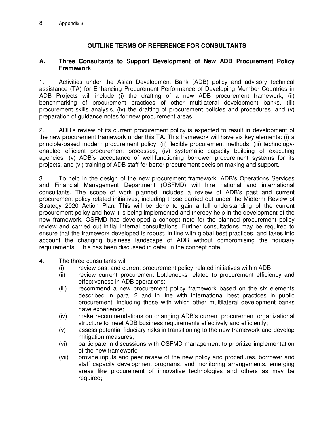# **OUTLINE TERMS OF REFERENCE FOR CONSULTANTS**

#### **A. Three Consultants to Support Development of New ADB Procurement Policy Framework**

1. Activities under the Asian Development Bank (ADB) policy and advisory technical assistance (TA) for Enhancing Procurement Performance of Developing Member Countries in ADB Projects will include (i) the drafting of a new ADB procurement framework, (ii) benchmarking of procurement practices of other multilateral development banks, (iii) procurement skills analysis, (iv) the drafting of procurement policies and procedures, and (v) preparation of guidance notes for new procurement areas.

2. ADB's review of its current procurement policy is expected to result in development of the new procurement framework under this TA. This framework will have six key elements: (i) a principle-based modern procurement policy, (ii) flexible procurement methods, (iii) technologyenabled efficient procurement processes, (iv) systematic capacity building of executing agencies, (v) ADB's acceptance of well-functioning borrower procurement systems for its projects, and (vi) training of ADB staff for better procurement decision making and support.

3. To help in the design of the new procurement framework, ADB's Operations Services and Financial Management Department (OSFMD) will hire national and international consultants. The scope of work planned includes a review of ADB's past and current procurement policy-related initiatives, including those carried out under the Midterm Review of Strategy 2020 Action Plan. This will be done to gain a full understanding of the current procurement policy and how it is being implemented and thereby help in the development of the new framework. OSFMD has developed a concept note for the planned procurement policy review and carried out initial internal consultations. Further consultations may be required to ensure that the framework developed is robust, in line with global best practices, and takes into account the changing business landscape of ADB without compromising the fiduciary requirements. This has been discussed in detail in the concept note.

- 4. The three consultants will
	- (i) review past and current procurement policy-related initiatives within ADB;
	- (ii) review current procurement bottlenecks related to procurement efficiency and effectiveness in ADB operations;
	- (iii) recommend a new procurement policy framework based on the six elements described in para. 2 and in line with international best practices in public procurement, including those with which other multilateral development banks have experience;
	- (iv) make recommendations on changing ADB's current procurement organizational structure to meet ADB business requirements effectively and efficiently;
	- (v) assess potential fiduciary risks in transitioning to the new framework and develop mitigation measures;
	- (vi) participate in discussions with OSFMD management to prioritize implementation of the new framework;
	- (vii) provide inputs and peer review of the new policy and procedures, borrower and staff capacity development programs, and monitoring arrangements, emerging areas like procurement of innovative technologies and others as may be required;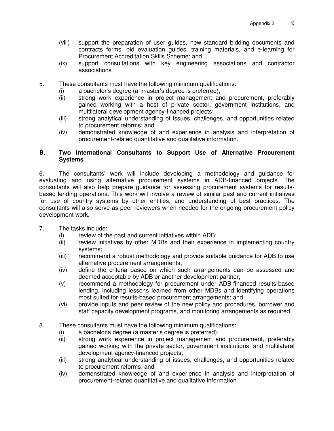- (viii) support the preparation of user guides, new standard bidding documents and contracts forms, bid evaluation guides, training materials, and e-learning for Procurement Accreditation Skills Scheme; and
- (ix) support consultations with key engineering associations and contractor associations
- 5.These consultants must have the following minimum qualifications:
	- (i) a bachelor's degree (a master's degree is preferred);
	- (ii) strong work experience in project management and procurement, preferably gained working with a host of private sector, government institutions, and multilateral development agency-financed projects;
	- (iii) strong analytical understanding of issues, challenges, and opportunities related to procurement reforms; and
	- (iv) demonstrated knowledge of and experience in analysis and interpretation of procurement-related quantitative and qualitative information.

#### **B. Two International Consultants to Support Use of Alternative Procurement Systems**

6. The consultants' work will include developing a methodology and guidance for evaluating and using alternative procurement systems in ADB-financed projects. The consultants will also help prepare guidance for assessing procurement systems for resultsbased lending operations. This work will involve a review of similar past and current initiatives for use of country systems by other entities, and understanding of best practices. The consultants will also serve as peer reviewers when needed for the ongoing procurement policy development work.

- 7. The tasks include:
	-
	- (i) review of the past and current initiatives within ADB;<br>(ii) review initiatives by other MDBs and their experier review initiatives by other MDBs and their experience in implementing country systems;
	- (iii) recommend a robust methodology and provide suitable guidance for ADB to use alternative procurement arrangements;
	- (iv) define the criteria based on which such arrangements can be assessed and deemed acceptable by ADB or another development partner;
	- (v) recommend a methodology for procurement under ADB-financed results-based lending, including lessons learned from other MDBs and identifying operations most suited for results-based procurement arrangements; and
	- (vi) provide inputs and peer review of the new policy and procedures, borrower and staff capacity development programs, and monitoring arrangements as required.
- 8. These consultants must have the following minimum qualifications:
	- (i) a bachelor's degree (a master's degree is preferred);
	- (ii) strong work experience in project management and procurement, preferably gained working with the private sector, government institutions, and multilateral development agency-financed projects;
	- (iii) strong analytical understanding of issues, challenges, and opportunities related to procurement reforms; and
	- (iv) demonstrated knowledge of and experience in analysis and interpretation of procurement-related quantitative and qualitative information.